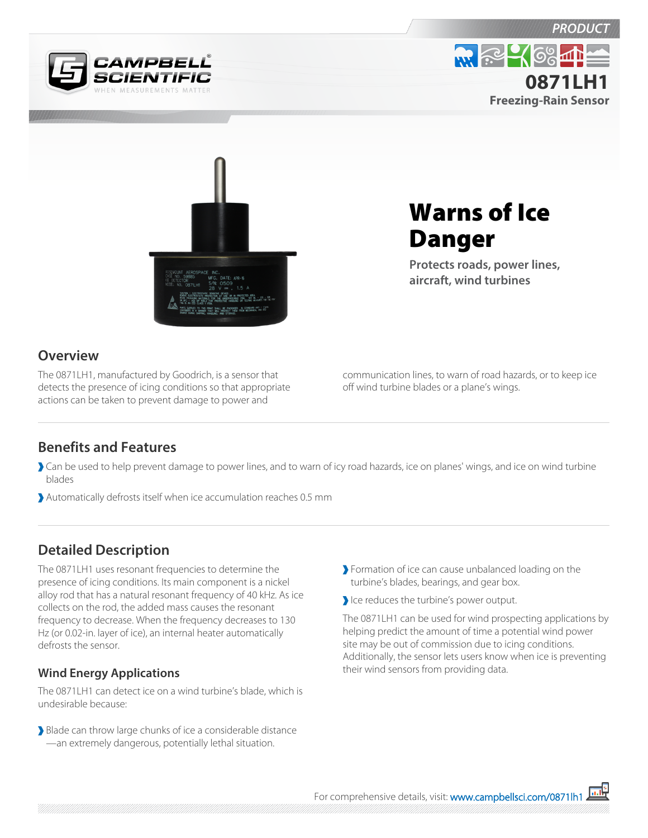





# Warns of Ice Danger

**Protects roads, power lines, aircraft, wind turbines**

### **Overview**

The 0871LH1, manufactured by Goodrich, is a sensor that detects the presence of icing conditions so that appropriate actions can be taken to prevent damage to power and

communication lines, to warn of road hazards, or to keep ice off wind turbine blades or a plane's wings.

## **Benefits and Features**

- Can be used to help prevent damage to power lines, and to warn of icy road hazards, ice on planes' wings, and ice on wind turbine blades
- Automatically defrosts itself when ice accumulation reaches 0.5 mm

## **Detailed Description**

The 0871LH1 uses resonant frequencies to determine the presence of icing conditions. Its main component is a nickel alloy rod that has a natural resonant frequency of 40 kHz. As ice collects on the rod, the added mass causes the resonant frequency to decrease. When the frequency decreases to 130 Hz (or 0.02-in. layer of ice), an internal heater automatically defrosts the sensor.

#### **Wind Energy Applications**

The 0871LH1 can detect ice on a wind turbine's blade, which is undesirable because:

Blade can throw large chunks of ice a considerable distance —an extremely dangerous, potentially lethal situation.

- Formation of ice can cause unbalanced loading on the turbine's blades, bearings, and gear box.
- Ice reduces the turbine's power output.

The 0871LH1 can be used for wind prospecting applications by helping predict the amount of time a potential wind power site may be out of commission due to icing conditions. Additionally, the sensor lets users know when ice is preventing their wind sensors from providing data.